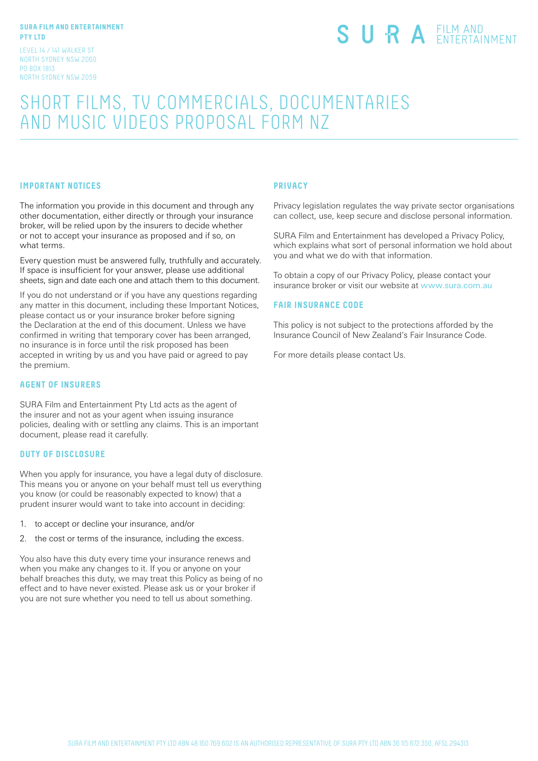#### **SURA FILM AND ENTERTAINMENT PTY LTD**

LEVEL 14 / 141 WALKER ST NORTH SYDNEY NSW 2060 PO BOX 1813 NORTH SYDNEY NSW 2059

# SURA EILM AND

# SHORT FILMS, TV COMMERCIALS, DOCUMENTARIES AND MUSIC VIDEOS PROPOSAL FORM NZ

# **IMPORTANT NOTICES**

The information you provide in this document and through any other documentation, either directly or through your insurance broker, will be relied upon by the insurers to decide whether or not to accept your insurance as proposed and if so, on what terms.

Every question must be answered fully, truthfully and accurately. If space is insufficient for your answer, please use additional sheets, sign and date each one and attach them to this document.

If you do not understand or if you have any questions regarding any matter in this document, including these Important Notices, please contact us or your insurance broker before signing the Declaration at the end of this document. Unless we have confirmed in writing that temporary cover has been arranged, no insurance is in force until the risk proposed has been accepted in writing by us and you have paid or agreed to pay the premium.

### **AGENT OF INSURERS**

SURA Film and Entertainment Pty Ltd acts as the agent of the insurer and not as your agent when issuing insurance policies, dealing with or settling any claims. This is an important document, please read it carefully.

#### **DUTY OF DISCLOSURE**

When you apply for insurance, you have a legal duty of disclosure. This means you or anyone on your behalf must tell us everything you know (or could be reasonably expected to know) that a prudent insurer would want to take into account in deciding:

- 1. to accept or decline your insurance, and/or
- 2. the cost or terms of the insurance, including the excess.

You also have this duty every time your insurance renews and when you make any changes to it. If you or anyone on your behalf breaches this duty, we may treat this Policy as being of no effect and to have never existed. Please ask us or your broker if you are not sure whether you need to tell us about something.

#### **PRIVACY**

Privacy legislation regulates the way private sector organisations can collect, use, keep secure and disclose personal information.

SURA Film and Entertainment has developed a Privacy Policy, which explains what sort of personal information we hold about you and what we do with that information.

To obtain a copy of our Privacy Policy, please contact your insurance broker or visit our website at www.sura.com.au

#### **FAIR INSURANCE CODE**

This policy is not subject to the protections afforded by the Insurance Council of New Zealand's Fair Insurance Code.

For more details please contact Us.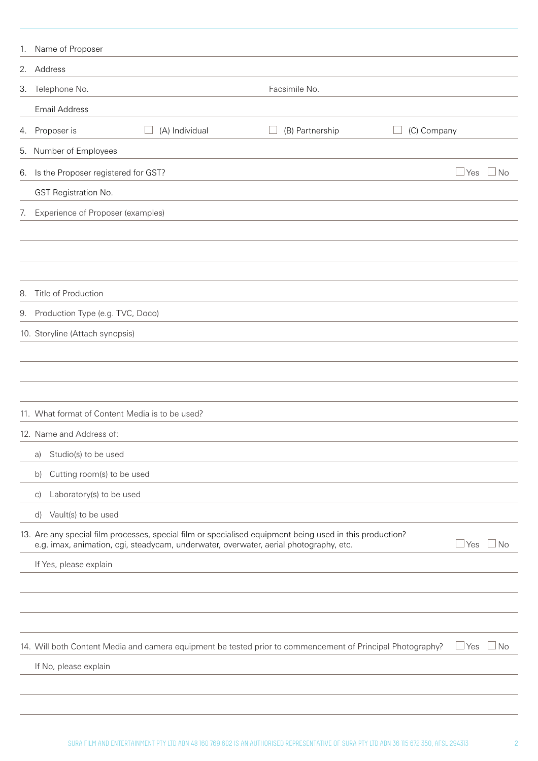| 1. | Name of Proposer                                                                      |                                                                                                            |                    |  |  |
|----|---------------------------------------------------------------------------------------|------------------------------------------------------------------------------------------------------------|--------------------|--|--|
|    | 2. Address                                                                            |                                                                                                            |                    |  |  |
| 3. | Telephone No.                                                                         | Facsimile No.                                                                                              |                    |  |  |
|    | <b>Email Address</b>                                                                  |                                                                                                            |                    |  |  |
| 4. | (A) Individual<br>Proposer is                                                         | (C) Company<br>(B) Partnership                                                                             |                    |  |  |
|    | 5. Number of Employees                                                                |                                                                                                            |                    |  |  |
| 6. | Is the Proposer registered for GST?                                                   |                                                                                                            | $\Box$ No<br>l Yes |  |  |
|    | GST Registration No.                                                                  |                                                                                                            |                    |  |  |
| 7. | Experience of Proposer (examples)                                                     |                                                                                                            |                    |  |  |
|    |                                                                                       |                                                                                                            |                    |  |  |
|    |                                                                                       |                                                                                                            |                    |  |  |
|    |                                                                                       |                                                                                                            |                    |  |  |
| 8. | Title of Production                                                                   |                                                                                                            |                    |  |  |
| 9. | Production Type (e.g. TVC, Doco)                                                      |                                                                                                            |                    |  |  |
|    | 10. Storyline (Attach synopsis)                                                       |                                                                                                            |                    |  |  |
|    |                                                                                       |                                                                                                            |                    |  |  |
|    |                                                                                       |                                                                                                            |                    |  |  |
|    |                                                                                       |                                                                                                            |                    |  |  |
|    | 11. What format of Content Media is to be used?                                       |                                                                                                            |                    |  |  |
|    | 12. Name and Address of:                                                              |                                                                                                            |                    |  |  |
|    | Studio(s) to be used<br>a)                                                            |                                                                                                            |                    |  |  |
|    | Cutting room(s) to be used<br>b)                                                      |                                                                                                            |                    |  |  |
|    | Laboratory(s) to be used<br>$\vert$ C)                                                |                                                                                                            |                    |  |  |
|    | Vault(s) to be used<br>d)                                                             |                                                                                                            |                    |  |  |
|    | e.g. imax, animation, cgi, steadycam, underwater, overwater, aerial photography, etc. | 13. Are any special film processes, special film or specialised equipment being used in this production?   | ⊿Yes ∟No           |  |  |
|    | If Yes, please explain                                                                |                                                                                                            |                    |  |  |
|    |                                                                                       |                                                                                                            |                    |  |  |
|    |                                                                                       |                                                                                                            |                    |  |  |
|    |                                                                                       |                                                                                                            |                    |  |  |
|    |                                                                                       | 14. Will both Content Media and camera equipment be tested prior to commencement of Principal Photography? | $\Box$ No<br>⊿ Yes |  |  |
|    | If No, please explain                                                                 |                                                                                                            |                    |  |  |
|    |                                                                                       |                                                                                                            |                    |  |  |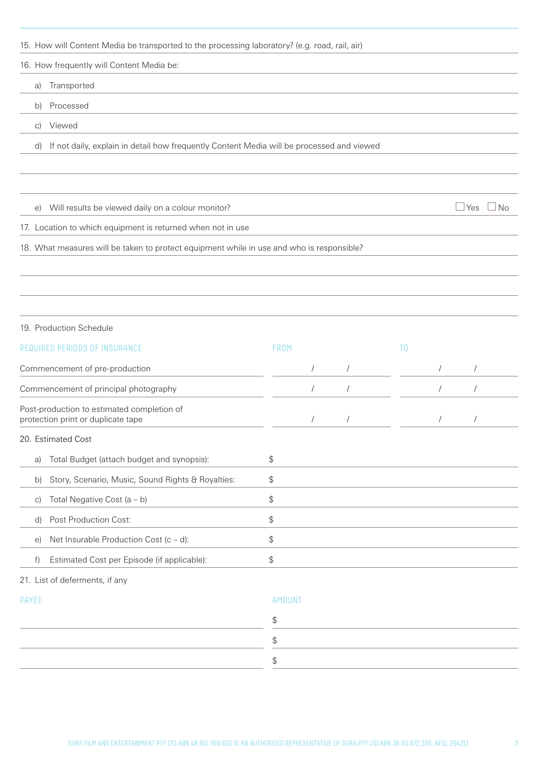15. How will Content Media be transported to the processing laboratory? (e.g. road, rail, air) 16. How frequently will Content Media be:

a) Transported

b) Processed

c) Viewed

d) If not daily, explain in detail how frequently Content Media will be processed and viewed

e) Will results be viewed daily on a colour monitor?  $\Box$  Yes  $\Box$  Yes  $\Box$  No

17. Location to which equipment is returned when not in use

18. What measures will be taken to protect equipment while in use and who is responsible?

#### 19. Production Schedule

| REQUIRED PERIODS OF INSURANCE                                                    | FROM   |  |                          | T0 |  |  |  |
|----------------------------------------------------------------------------------|--------|--|--------------------------|----|--|--|--|
| Commencement of pre-production                                                   |        |  |                          |    |  |  |  |
| Commencement of principal photography                                            |        |  | $\sqrt{2}$<br>$\sqrt{2}$ |    |  |  |  |
| Post-production to estimated completion of<br>protection print or duplicate tape |        |  |                          |    |  |  |  |
| 20. Estimated Cost                                                               |        |  |                          |    |  |  |  |
| Total Budget (attach budget and synopsis):<br>a)                                 | \$     |  |                          |    |  |  |  |
| Story, Scenario, Music, Sound Rights & Royalties:<br>b)                          | \$     |  |                          |    |  |  |  |
| Total Negative Cost $(a - b)$<br>$\mathcal{C}$                                   | \$     |  |                          |    |  |  |  |
| Post Production Cost:<br>d)                                                      | \$     |  |                          |    |  |  |  |
| Net Insurable Production Cost $(c - d)$ :<br>$\Theta$                            | \$     |  |                          |    |  |  |  |
| Estimated Cost per Episode (if applicable):<br>f)                                | \$     |  |                          |    |  |  |  |
| 21. List of deferments, if any                                                   |        |  |                          |    |  |  |  |
| PAYEE                                                                            | AMOUNT |  |                          |    |  |  |  |
|                                                                                  | \$     |  |                          |    |  |  |  |
|                                                                                  | \$     |  |                          |    |  |  |  |
|                                                                                  |        |  |                          |    |  |  |  |

\$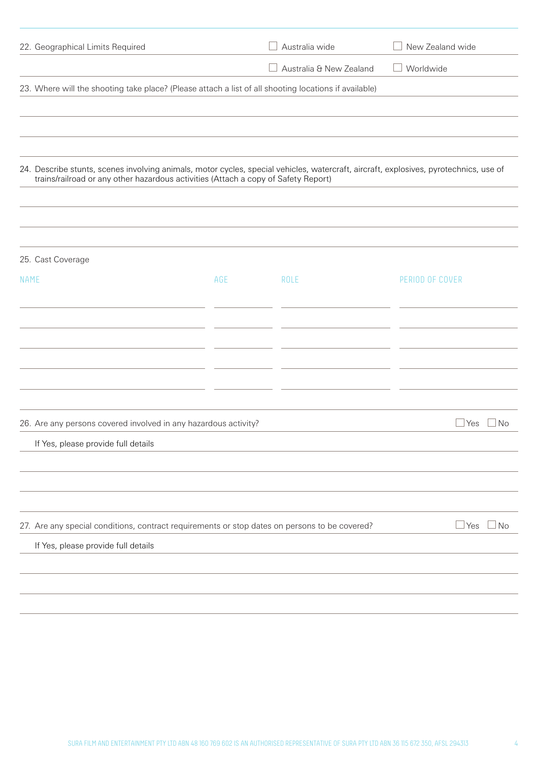| 22. Geographical Limits Required                                                                                                                                                                                            |     | Australia wide          | New Zealand wide             |
|-----------------------------------------------------------------------------------------------------------------------------------------------------------------------------------------------------------------------------|-----|-------------------------|------------------------------|
|                                                                                                                                                                                                                             |     | Australia & New Zealand | Worldwide                    |
| 23. Where will the shooting take place? (Please attach a list of all shooting locations if available)                                                                                                                       |     |                         |                              |
|                                                                                                                                                                                                                             |     |                         |                              |
|                                                                                                                                                                                                                             |     |                         |                              |
|                                                                                                                                                                                                                             |     |                         |                              |
| 24. Describe stunts, scenes involving animals, motor cycles, special vehicles, watercraft, aircraft, explosives, pyrotechnics, use of<br>trains/railroad or any other hazardous activities (Attach a copy of Safety Report) |     |                         |                              |
|                                                                                                                                                                                                                             |     |                         |                              |
|                                                                                                                                                                                                                             |     |                         |                              |
|                                                                                                                                                                                                                             |     |                         |                              |
| 25. Cast Coverage                                                                                                                                                                                                           |     |                         |                              |
| <b>NAME</b>                                                                                                                                                                                                                 | AGE | ROLE                    | PERIOD OF COVER              |
|                                                                                                                                                                                                                             |     |                         |                              |
|                                                                                                                                                                                                                             |     |                         |                              |
|                                                                                                                                                                                                                             |     |                         |                              |
|                                                                                                                                                                                                                             |     |                         |                              |
|                                                                                                                                                                                                                             |     |                         |                              |
|                                                                                                                                                                                                                             |     |                         |                              |
| 26. Are any persons covered involved in any hazardous activity?                                                                                                                                                             |     |                         | N <sub>o</sub><br><b>Yes</b> |
| If Yes, please provide full details                                                                                                                                                                                         |     |                         |                              |
|                                                                                                                                                                                                                             |     |                         |                              |
|                                                                                                                                                                                                                             |     |                         |                              |
|                                                                                                                                                                                                                             |     |                         |                              |
| 27. Are any special conditions, contract requirements or stop dates on persons to be covered?                                                                                                                               |     |                         | $\sqcup$ Yes<br>$\sqcup$ No  |
| If Yes, please provide full details                                                                                                                                                                                         |     |                         |                              |
|                                                                                                                                                                                                                             |     |                         |                              |
|                                                                                                                                                                                                                             |     |                         |                              |
|                                                                                                                                                                                                                             |     |                         |                              |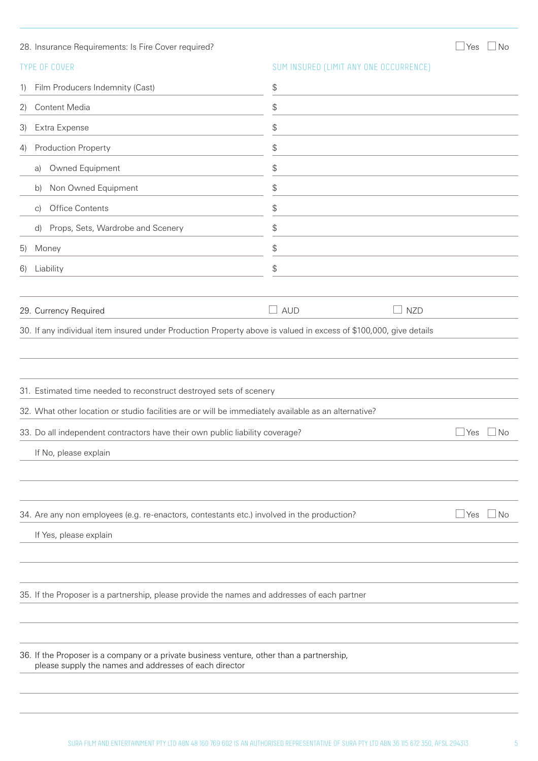|                   | 28. Insurance Requirements: Is Fire Cover required?                                                                                                 |                                               |                                        | $\Box$ Yes | $\Box$ No |
|-------------------|-----------------------------------------------------------------------------------------------------------------------------------------------------|-----------------------------------------------|----------------------------------------|------------|-----------|
|                   | <b>TYPE OF COVER</b>                                                                                                                                |                                               | SUM INSURED (LIMIT ANY ONE OCCURRENCE) |            |           |
| 1)                | Film Producers Indemnity (Cast)                                                                                                                     | $\, \, \raisebox{12pt}{$\scriptstyle \circ$}$ |                                        |            |           |
| $\left( 2\right)$ | Content Media                                                                                                                                       | \$                                            |                                        |            |           |
| 3)                | Extra Expense                                                                                                                                       | \$                                            |                                        |            |           |
| 4)                | Production Property                                                                                                                                 | \$                                            |                                        |            |           |
|                   | Owned Equipment<br>a)                                                                                                                               | \$                                            |                                        |            |           |
|                   | Non Owned Equipment<br>b)                                                                                                                           | \$                                            |                                        |            |           |
|                   | Office Contents<br>$\vert$ C)                                                                                                                       | \$                                            |                                        |            |           |
|                   | Props, Sets, Wardrobe and Scenery<br>d)                                                                                                             | \$                                            |                                        |            |           |
| 5)                | Money                                                                                                                                               | \$                                            |                                        |            |           |
| 6)                | Liability                                                                                                                                           | \$                                            |                                        |            |           |
|                   |                                                                                                                                                     |                                               |                                        |            |           |
|                   | 29. Currency Required                                                                                                                               | <b>AUD</b>                                    | <b>NZD</b>                             |            |           |
|                   | 30. If any individual item insured under Production Property above is valued in excess of \$100,000, give details                                   |                                               |                                        |            |           |
|                   |                                                                                                                                                     |                                               |                                        |            |           |
|                   |                                                                                                                                                     |                                               |                                        |            |           |
|                   | 31. Estimated time needed to reconstruct destroyed sets of scenery                                                                                  |                                               |                                        |            |           |
|                   | 32. What other location or studio facilities are or will be immediately available as an alternative?                                                |                                               |                                        |            |           |
|                   | 33. Do all independent contractors have their own public liability coverage?                                                                        |                                               |                                        | Yes        | ⊥No       |
|                   | If No, please explain                                                                                                                               |                                               |                                        |            |           |
|                   |                                                                                                                                                     |                                               |                                        |            |           |
|                   |                                                                                                                                                     |                                               |                                        |            |           |
|                   | 34. Are any non employees (e.g. re-enactors, contestants etc.) involved in the production?                                                          |                                               |                                        | $\Box$ Yes | ⊥No       |
|                   | If Yes, please explain                                                                                                                              |                                               |                                        |            |           |
|                   |                                                                                                                                                     |                                               |                                        |            |           |
|                   |                                                                                                                                                     |                                               |                                        |            |           |
|                   | 35. If the Proposer is a partnership, please provide the names and addresses of each partner                                                        |                                               |                                        |            |           |
|                   |                                                                                                                                                     |                                               |                                        |            |           |
|                   |                                                                                                                                                     |                                               |                                        |            |           |
|                   | 36. If the Proposer is a company or a private business venture, other than a partnership,<br>please supply the names and addresses of each director |                                               |                                        |            |           |
|                   |                                                                                                                                                     |                                               |                                        |            |           |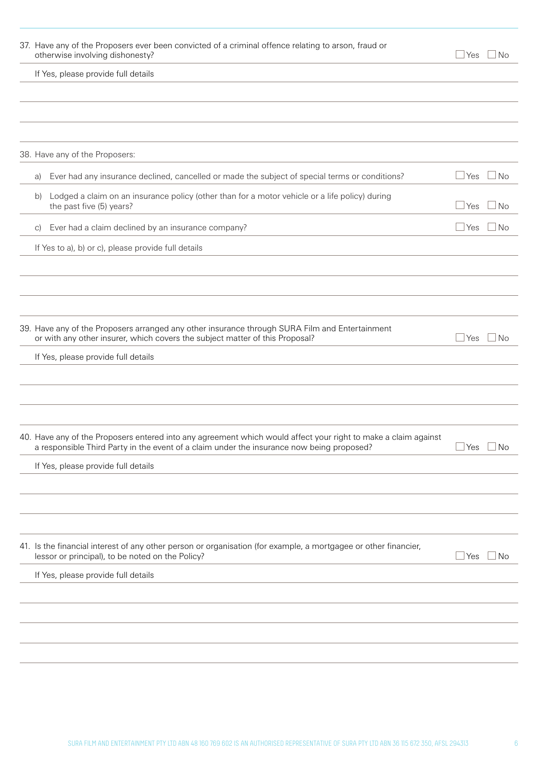| 37. Have any of the Proposers ever been convicted of a criminal offence relating to arson, fraud or<br>otherwise involving dishonesty?                                                                      | $\sqcup$ Yes<br>⊥No             |
|-------------------------------------------------------------------------------------------------------------------------------------------------------------------------------------------------------------|---------------------------------|
| If Yes, please provide full details                                                                                                                                                                         |                                 |
|                                                                                                                                                                                                             |                                 |
|                                                                                                                                                                                                             |                                 |
|                                                                                                                                                                                                             |                                 |
| 38. Have any of the Proposers:                                                                                                                                                                              |                                 |
| Ever had any insurance declined, cancelled or made the subject of special terms or conditions?<br>a)                                                                                                        | $\sqcup$ Yes<br>$\Box$ No       |
| Lodged a claim on an insurance policy (other than for a motor vehicle or a life policy) during<br>b)<br>the past five (5) years?                                                                            | $\Box$ Yes<br>$\Box$ No         |
| Ever had a claim declined by an insurance company?<br>$\vert$ C)                                                                                                                                            | $\Box$ Yes<br>$\blacksquare$ No |
| If Yes to a), b) or c), please provide full details                                                                                                                                                         |                                 |
|                                                                                                                                                                                                             |                                 |
|                                                                                                                                                                                                             |                                 |
|                                                                                                                                                                                                             |                                 |
| 39. Have any of the Proposers arranged any other insurance through SURA Film and Entertainment<br>or with any other insurer, which covers the subject matter of this Proposal?                              | $\sqcup$ Yes<br>⊥No             |
| If Yes, please provide full details                                                                                                                                                                         |                                 |
|                                                                                                                                                                                                             |                                 |
|                                                                                                                                                                                                             |                                 |
|                                                                                                                                                                                                             |                                 |
| 40. Have any of the Proposers entered into any agreement which would affect your right to make a claim against<br>a responsible Third Party in the event of a claim under the insurance now being proposed? | $\Box$ No<br>$\sqcup$ Yes       |
| If Yes, please provide full details                                                                                                                                                                         |                                 |
|                                                                                                                                                                                                             |                                 |
|                                                                                                                                                                                                             |                                 |
|                                                                                                                                                                                                             |                                 |
| 41. Is the financial interest of any other person or organisation (for example, a mortgagee or other financier,<br>lessor or principal), to be noted on the Policy?                                         | $\Box$ Yes<br>$\Box$ No         |
| If Yes, please provide full details                                                                                                                                                                         |                                 |
|                                                                                                                                                                                                             |                                 |
|                                                                                                                                                                                                             |                                 |
|                                                                                                                                                                                                             |                                 |
|                                                                                                                                                                                                             |                                 |
|                                                                                                                                                                                                             |                                 |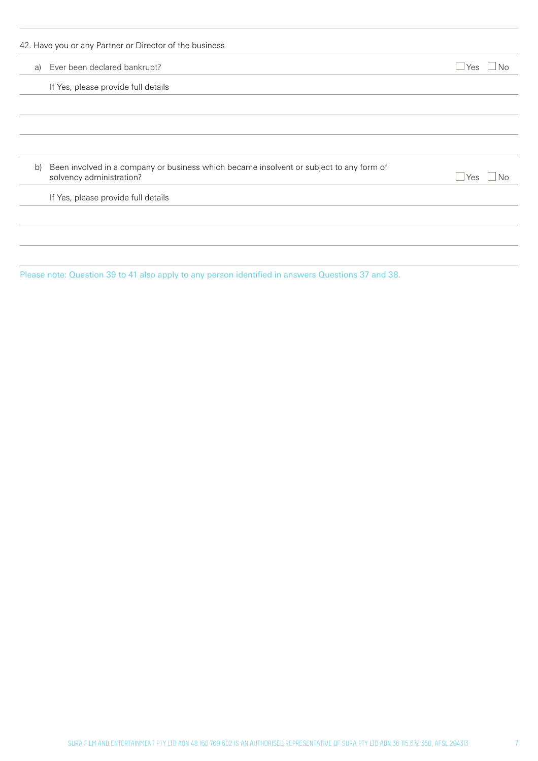|    | a) Ever been declared bankrupt?                                                                                     | ⊿ Yes<br>N <sub>0</sub> |
|----|---------------------------------------------------------------------------------------------------------------------|-------------------------|
|    | If Yes, please provide full details                                                                                 |                         |
|    |                                                                                                                     |                         |
|    |                                                                                                                     |                         |
|    |                                                                                                                     |                         |
| b) | Been involved in a company or business which became insolvent or subject to any form of<br>solvency administration? | l Yes<br>No             |
|    | If Yes, please provide full details                                                                                 |                         |
|    |                                                                                                                     |                         |
|    |                                                                                                                     |                         |

Please note: Question 39 to 41 also apply to any person identified in answers Questions 37 and 38.